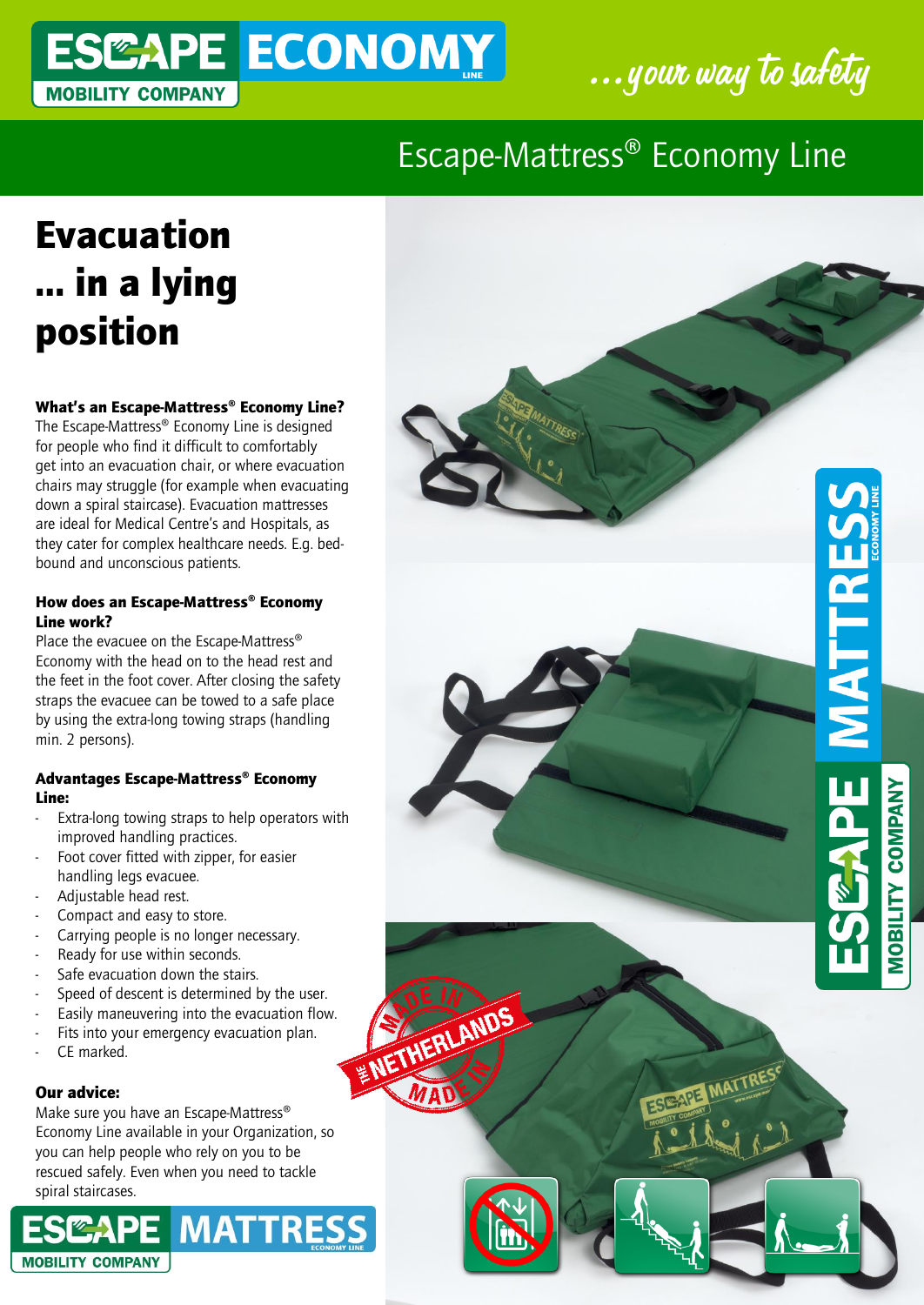### ESCAPE ECONOMY ....your way to safety **MOBILITY COMPANY**



MATTRES

**COMPANY** 

*NOBILITY* 

### Escape-Mattress® Economy Line

# Evacuation … in a lying position

#### What's an Escape-Mattress® Economy Line?

The Escape-Mattress® Economy Line is designed for people who find it difficult to comfortably get into an evacuation chair, or where evacuation chairs may struggle (for example when evacuating down a spiral staircase). Evacuation mattresses are ideal for Medical Centre's and Hospitals, as they cater for complex healthcare needs. E.g. bedbound and unconscious patients.

#### How does an Escape-Mattress® Economy Line work?

Place the evacuee on the Escape-Mattress® Economy with the head on to the head rest and the feet in the foot cover. After closing the safety straps the evacuee can be towed to a safe place by using the extra-long towing straps (handling min. 2 persons).

#### Advantages Escape-Mattress® Economy Line:

- Extra-long towing straps to help operators with improved handling practices.
- Foot cover fitted with zipper, for easier handling legs evacuee.
- Adjustable head rest.
- Compact and easy to store.
- Carrying people is no longer necessary.
- Ready for use within seconds.
- Safe evacuation down the stairs.
- Speed of descent is determined by the user.
- Easily maneuvering into the evacuation flow.

NETHERLANDS

- Fits into your emergency evacuation plan.
- CE marked.

#### Our advice:

Make sure you have an Escape-Mattress® Economy Line available in your Organization, so you can help people who rely on you to be rescued safely. Even when you need to tackle spiral staircases.